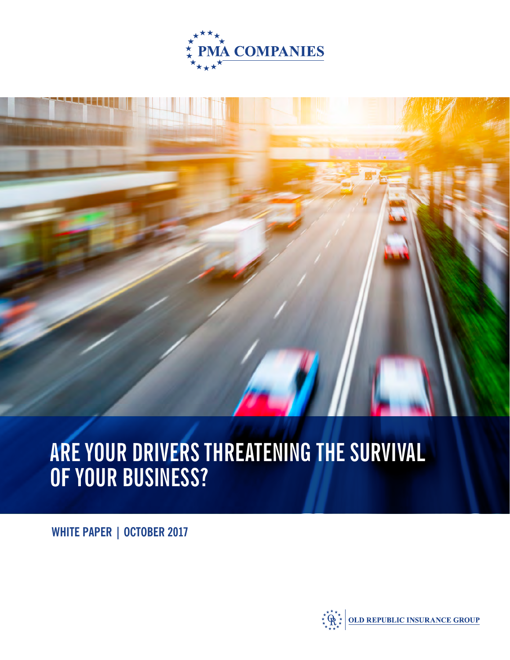

# **ARE YOUR DRIVERS THREATENING THE SURVIVAL OF YOUR BUSINESS?**

**WHITE PAPER | OCTOBER 2017**

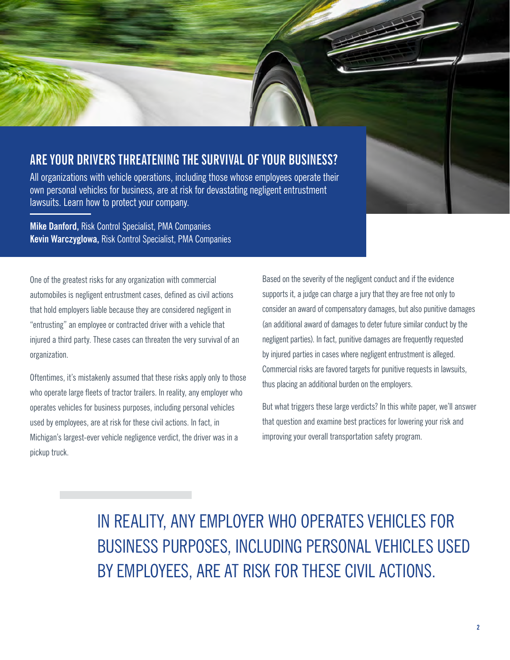### **ARE YOUR DRIVERS THREATENING THE SURVIVAL OF YOUR BUSINESS?**

All organizations with vehicle operations, including those whose employees operate their own personal vehicles for business, are at risk for devastating negligent entrustment lawsuits. Learn how to protect your company.

**Mike Danford,** Risk Control Specialist, PMA Companies **Kevin Warczyglowa,** Risk Control Specialist, PMA Companies

One of the greatest risks for any organization with commercial automobiles is negligent entrustment cases, defined as civil actions that hold employers liable because they are considered negligent in "entrusting" an employee or contracted driver with a vehicle that injured a third party. These cases can threaten the very survival of an organization.

Oftentimes, it's mistakenly assumed that these risks apply only to those who operate large fleets of tractor trailers. In reality, any employer who operates vehicles for business purposes, including personal vehicles used by employees, are at risk for these civil actions. In fact, in Michigan's largest-ever vehicle negligence verdict, the driver was in a pickup truck.

Based on the severity of the negligent conduct and if the evidence supports it, a judge can charge a jury that they are free not only to consider an award of compensatory damages, but also punitive damages (an additional award of damages to deter future similar conduct by the negligent parties). In fact, punitive damages are frequently requested by injured parties in cases where negligent entrustment is alleged. Commercial risks are favored targets for punitive requests in lawsuits, thus placing an additional burden on the employers.

But what triggers these large verdicts? In this white paper, we'll answer that question and examine best practices for lowering your risk and improving your overall transportation safety program.

IN REALITY, ANY EMPLOYER WHO OPERATES VEHICLES FOR BUSINESS PURPOSES, INCLUDING PERSONAL VEHICLES USED BY EMPLOYEES, ARE AT RISK FOR THESE CIVIL ACTIONS.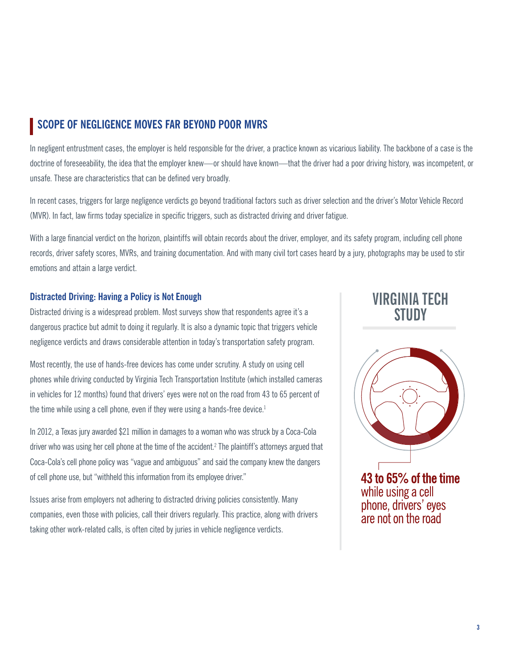### **SCOPE OF NEGLIGENCE MOVES FAR BEYOND POOR MVRS**

In negligent entrustment cases, the employer is held responsible for the driver, a practice known as vicarious liability. The backbone of a case is the doctrine of foreseeability, the idea that the employer knew—or should have known—that the driver had a poor driving history, was incompetent, or unsafe. These are characteristics that can be defined very broadly.

In recent cases, triggers for large negligence verdicts go beyond traditional factors such as driver selection and the driver's Motor Vehicle Record (MVR). In fact, law firms today specialize in specific triggers, such as distracted driving and driver fatigue.

With a large financial verdict on the horizon, plaintiffs will obtain records about the driver, employer, and its safety program, including cell phone records, driver safety scores, MVRs, and training documentation. And with many civil tort cases heard by a jury, photographs may be used to stir emotions and attain a large verdict.

#### **Distracted Driving: Having a Policy is Not Enough**

Distracted driving is a widespread problem. Most surveys show that respondents agree it's a dangerous practice but admit to doing it regularly. It is also a dynamic topic that triggers vehicle negligence verdicts and draws considerable attention in today's transportation safety program.

Most recently, the use of hands-free devices has come under scrutiny. A study on using cell phones while driving conducted by Virginia Tech Transportation Institute (which installed cameras in vehicles for 12 months) found that drivers' eyes were not on the road from 43 to 65 percent of the time while using a cell phone, even if they were using a hands-free device.<sup>1</sup>

In 2012, a Texas jury awarded \$21 million in damages to a woman who was struck by a Coca-Cola driver who was using her cell phone at the time of the accident.<sup>2</sup> The plaintiff's attorneys argued that Coca-Cola's cell phone policy was "vague and ambiguous" and said the company knew the dangers of cell phone use, but "withheld this information from its employee driver."

Issues arise from employers not adhering to distracted driving policies consistently. Many companies, even those with policies, call their drivers regularly. This practice, along with drivers taking other work-related calls, is often cited by juries in vehicle negligence verdicts.

### VIRGINIA TFCH STIINY



43 to 65% of the time while using a cell phone, drivers' eyes are not on the road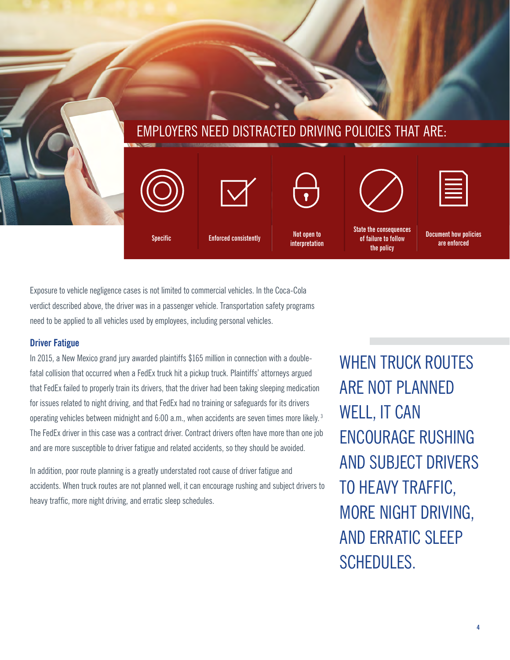

Exposure to vehicle negligence cases is not limited to commercial vehicles. In the Coca-Cola verdict described above, the driver was in a passenger vehicle. Transportation safety programs need to be applied to all vehicles used by employees, including personal vehicles.

### **Driver Fatigue**

In 2015, a New Mexico grand jury awarded plaintiffs \$165 million in connection with a doublefatal collision that occurred when a FedEx truck hit a pickup truck. Plaintiffs' attorneys argued that FedEx failed to properly train its drivers, that the driver had been taking sleeping medication for issues related to night driving, and that FedEx had no training or safeguards for its drivers operating vehicles between midnight and 6:00 a.m., when accidents are seven times more likely. 3 The FedEx driver in this case was a contract driver. Contract drivers often have more than one job and are more susceptible to driver fatigue and related accidents, so they should be avoided.

In addition, poor route planning is a greatly understated root cause of driver fatigue and accidents. When truck routes are not planned well, it can encourage rushing and subject drivers to heavy traffic, more night driving, and erratic sleep schedules.

WHEN TRUCK ROUTES ARE NOT PLANNED WELL, IT CAN ENCOURAGE RUSHING AND SUBJECT DRIVERS TO HEAVY TRAFFIC, MORE NIGHT DRIVING, AND ERRATIC SLEEP SCHEDULES.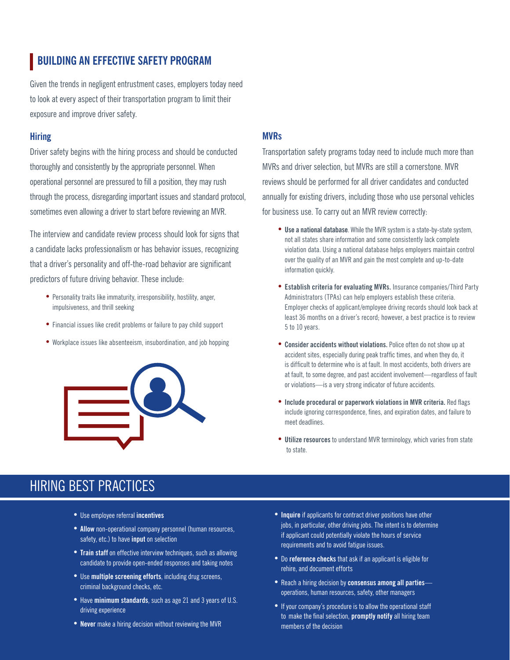### **BUILDING AN EFFECTIVE SAFETY PROGRAM**

Given the trends in negligent entrustment cases, employers today need to look at every aspect of their transportation program to limit their exposure and improve driver safety.

#### **Hiring**

Driver safety begins with the hiring process and should be conducted thoroughly and consistently by the appropriate personnel. When operational personnel are pressured to fill a position, they may rush through the process, disregarding important issues and standard protocol, sometimes even allowing a driver to start before reviewing an MVR.

The interview and candidate review process should look for signs that a candidate lacks professionalism or has behavior issues, recognizing that a driver's personality and off-the-road behavior are significant predictors of future driving behavior. These include:

- Personality traits like immaturity, irresponsibility, hostility, anger, impulsiveness, and thrill seeking
- Financial issues like credit problems or failure to pay child support
- Workplace issues like absenteeism, insubordination, and job hopping



#### **MVRs**

Transportation safety programs today need to include much more than MVRs and driver selection, but MVRs are still a cornerstone. MVR reviews should be performed for all driver candidates and conducted annually for existing drivers, including those who use personal vehicles for business use. To carry out an MVR review correctly:

- **• Use a national database**. While the MVR system is a state-by-state system, not all states share information and some consistently lack complete violation data. Using a national database helps employers maintain control over the quality of an MVR and gain the most complete and up-to-date information quickly.
- **• Establish criteria for evaluating MVRs.** Insurance companies/Third Party Administrators (TPAs) can help employers establish these criteria. Employer checks of applicant/employee driving records should look back at least 36 months on a driver's record; however, a best practice is to review 5 to 10 years.
- **• Consider accidents without violations.** Police often do not show up at accident sites, especially during peak traffic times, and when they do, it is difficult to determine who is at fault. In most accidents, both drivers are at fault, to some degree, and past accident involvement—regardless of fault or violations—is a very strong indicator of future accidents.
- **• Include procedural or paperwork violations in MVR criteria.** Red flags include ignoring correspondence, fines, and expiration dates, and failure to meet deadlines.
- **• Utilize resources** to understand MVR terminology, which varies from state to state.

### HIRING BEST PRACTICES

- Use employee referral **incentives**
- **• Allow** non-operational company personnel (human resources, safety, etc.) to have **input** on selection
- **• Train staff** on effective interview techniques, such as allowing candidate to provide open-ended responses and taking notes
- Use **multiple screening efforts**, including drug screens, criminal background checks, etc.
- Have **minimum standards**, such as age 21 and 3 years of U.S. driving experience
- **• Never** make a hiring decision without reviewing the MVR
- **• Inquire** if applicants for contract driver positions have other jobs, in particular, other driving jobs. The intent is to determine if applicant could potentially violate the hours of service requirements and to avoid fatigue issues.
- Do **reference checks** that ask if an applicant is eligible for rehire, and document efforts
- Reach a hiring decision by **consensus among all parties** operations, human resources, safety, other managers
- If your company's procedure is to allow the operational staff to make the final selection, **promptly notify** all hiring team members of the decision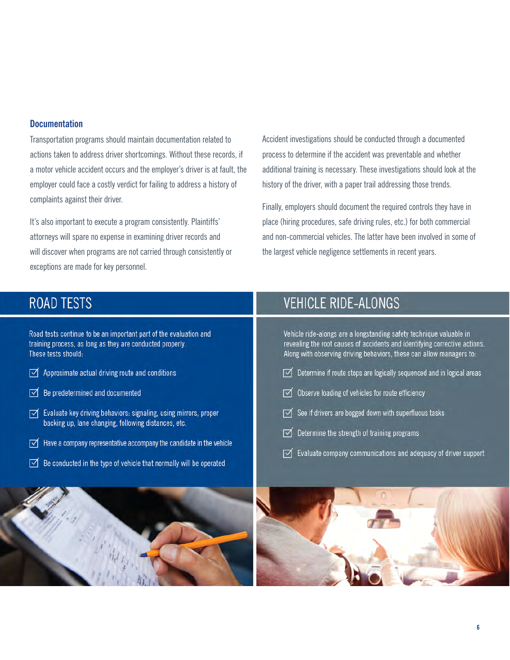#### **Documentation**

Transportation programs should maintain documentation related to actions taken to address driver shortcomings. Without these records, if a motor vehicle accident occurs and the employer's driver is at fault, the employer could face a costly verdict for failing to address a history of complaints against their driver.

It's also important to execute a program consistently. Plaintiffs' attorneys will spare no expense in examining driver records and will discover when programs are not carried through consistently or exceptions are made for key personnel.

Accident investigations should be conducted through a documented process to determine if the accident was preventable and whether additional training is necessary. These investigations should look at the history of the driver, with a paper trail addressing those trends.

Finally, employers should document the required controls they have in place (hiring procedures, safe driving rules, etc.) for both commercial and non-commercial vehicles. The latter have been involved in some of the largest vehicle negligence settlements in recent years.

### **ROAD TESTS**

Road tests continue to be an important part of the evaluation and training process, as long as they are conducted properly. These tests should:

- $\sqrt{\phantom{a}}$  Approximate actual driving route and conditions
- $\sqrt{\phantom{a}}$  Be predetermined and documented
- √ Evaluate key driving behaviors: signaling, using mirrors, proper backing up, lane changing, following distances, etc.
- $\sqrt{\phantom{a}}$  Have a company representative accompany the candidate in the vehicle
- $\mathbb S$  Be conducted in the type of vehicle that normally will be operated

## **VEHICLE RIDE-ALONGS**

Vehicle ride-alongs are a longstanding safety technique valuable in revealing the root causes of accidents and identifying corrective actions. Along with observing driving behaviors, these can allow managers to:

- $\triangledown$  Determine if route stops are logically sequenced and in logical areas
- $\sqrt{ }$  Observe loading of vehicles for route efficiency
- See if drivers are bogged down with superfluous tasks
- $\triangledown$  Determine the strength of training programs
- $\sqrt{\ }$  Evaluate company communications and adequacy of driver support

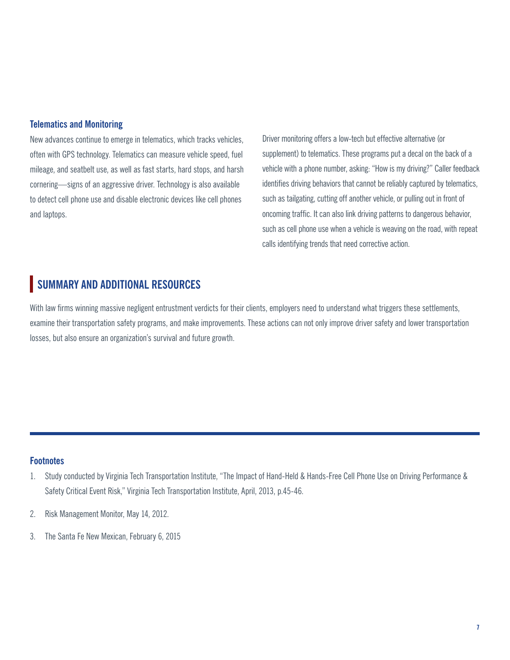#### **Telematics and Monitoring**

New advances continue to emerge in telematics, which tracks vehicles, often with GPS technology. Telematics can measure vehicle speed, fuel mileage, and seatbelt use, as well as fast starts, hard stops, and harsh cornering—signs of an aggressive driver. Technology is also available to detect cell phone use and disable electronic devices like cell phones and laptops.

Driver monitoring offers a low-tech but effective alternative (or supplement) to telematics. These programs put a decal on the back of a vehicle with a phone number, asking: "How is my driving?" Caller feedback identifies driving behaviors that cannot be reliably captured by telematics, such as tailgating, cutting off another vehicle, or pulling out in front of oncoming traffic. It can also link driving patterns to dangerous behavior, such as cell phone use when a vehicle is weaving on the road, with repeat calls identifying trends that need corrective action.

### **SUMMARY AND ADDITIONAL RESOURCES**

With law firms winning massive negligent entrustment verdicts for their clients, employers need to understand what triggers these settlements, examine their transportation safety programs, and make improvements. These actions can not only improve driver safety and lower transportation losses, but also ensure an organization's survival and future growth.

#### **Footnotes**

- 1. Study conducted by Virginia Tech Transportation Institute, "The Impact of Hand-Held & Hands-Free Cell Phone Use on Driving Performance & Safety Critical Event Risk," Virginia Tech Transportation Institute, April, 2013, p.45-46.
- 2. Risk Management Monitor, May 14, 2012.
- 3. The Santa Fe New Mexican, February 6, 2015